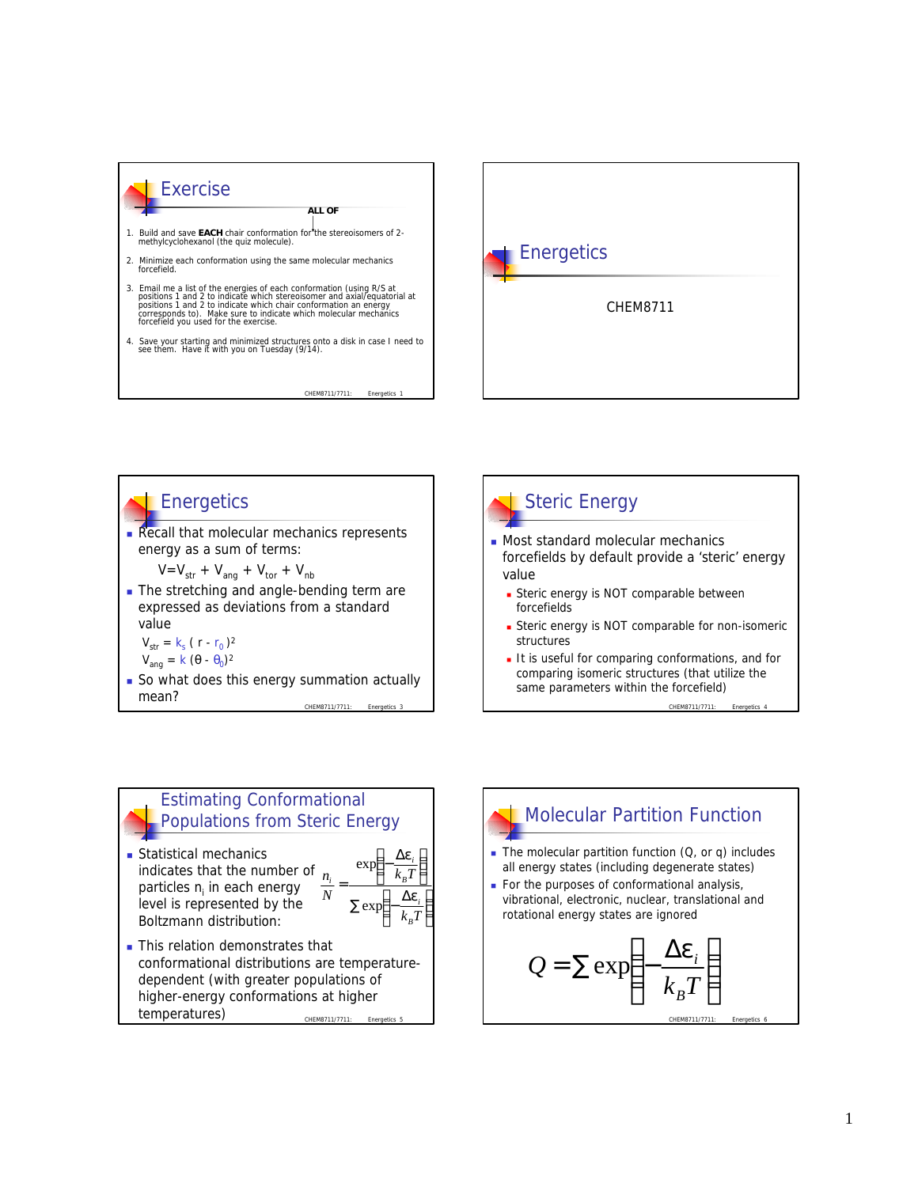





CHEM8711/7711:

*i*

forcefields

value

**Steric energy is NOT comparable for non-isomeric** structures It is useful for comparing conformations, and for

forcefields by default provide a 'steric' energy

**Exercic energy is NOT comparable between** 

Steric Energy

comparing isomeric structures (that utilize the same parameters within the forcefield)

CHEM8711/7711: Energ

## Estimating Conformational Populations from Steric Energy

**Statistical mechanics** indicates that the number of particles *n<sup>i</sup>* in each energy level is represented by the Boltzmann distribution: *N n*



CHEM8711/7711: Energetic **n** This relation demonstrates that conformational distributions are temperaturedependent (with greater populations of higher-energy conformations at higher temperatures)

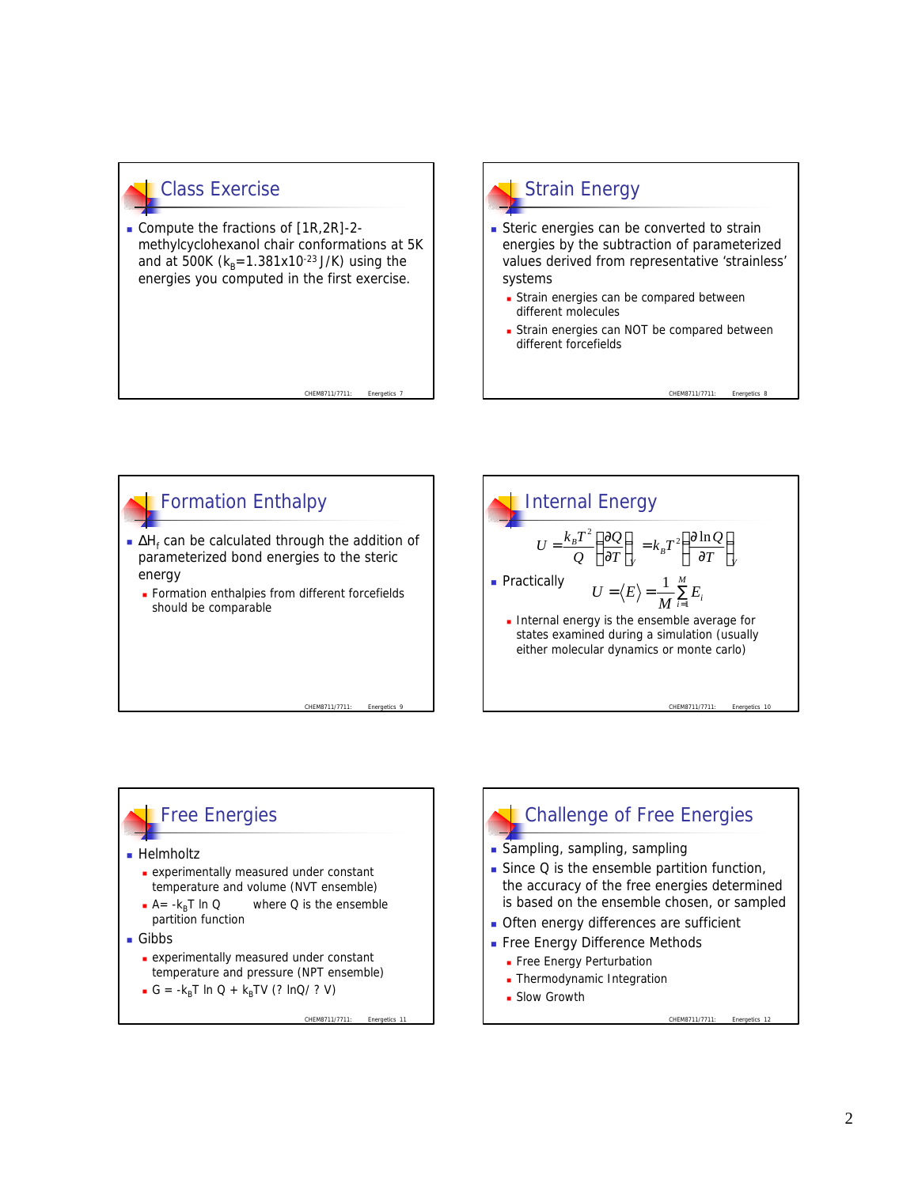## Class Exercise

Compute the fractions of  $[1R, 2R]$ -2methylcyclohexanol chair conformations at 5K and at 500K ( $k_B$ =1.381x10<sup>-23</sup> J/K) using the energies you computed in the first exercise.

CHEM8711/7711

## Strain Energy

- **Steric energies can be converted to strain** energies by the subtraction of parameterized values derived from representative 'strainless' systems
	- **Extrain energies can be compared between** different molecules
	- **Strain energies can NOT be compared between** different forcefields

CHEM8711/7711:



## **Free Energies**

#### **Helmholtz**

- **Experimentally measured under constant** temperature and volume (NVT ensemble)
- $A = -k_B T \ln Q$  where Q is the ensemble partition function
- Gibbs
	- <sup>n</sup> experimentally measured under constant temperature and pressure (NPT ensemble)
	- $G = -k_B T \ln Q + k_B TV$  (? lnQ/ ? V)

CHEM8711/7711:

# Challenge of Free Energies

- **s** Sampling, sampling, sampling
- $\blacksquare$  Since Q is the ensemble partition function, the accuracy of the free energies determined is based on the ensemble chosen, or sampled
- **n** Often energy differences are sufficient
- **Free Energy Difference Methods** 
	- **Free Energy Perturbation**
	- **n** Thermodynamic Integration
	- **Blow Growth**